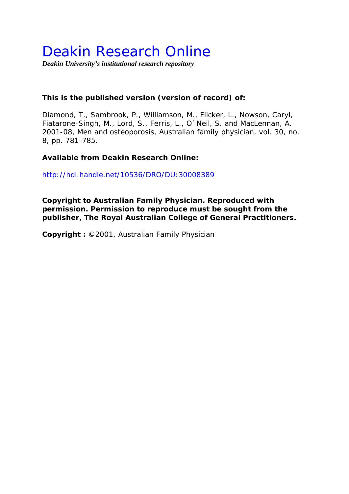## Deakin Research Online

*Deakin University's institutional research repository* 

#### **This is the published version (version of record) of:**

Diamond, T., Sambrook, P., Williamson, M., Flicker, L., Nowson, Caryl, Fiatarone-Singh, M., Lord, S., Ferris, L., O`Neil, S. and MacLennan, A. 2001-08, Men and osteoporosis*, Australian family physician*, vol. 30, no. 8, pp. 781-785.

#### **Available from Deakin Research Online:**

http://hdl.handle.net/10536/DRO/DU:30008389

**Copyright to Australian Family Physician. Reproduced with permission. Permission to reproduce must be sought from the publisher, The Royal Australian College of General Practitioners.** 

**Copyright :** ©2001, Australian Family Physician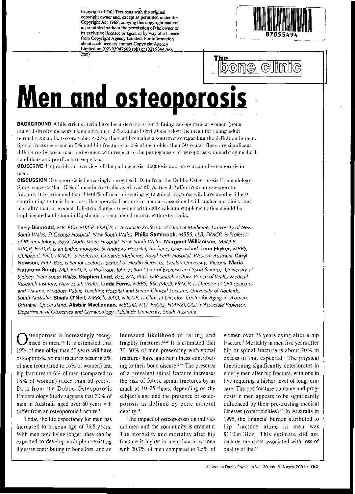Copyright of Full Text rests with the original copyright owner and, except as permitted under the Copyright Act 1968, copying this copyright material is prohibited without the permission of the owner or its exclusive licensee or agent or by way of a licence from Copyright Agency Limited. For information about such licences contact Copyright Agency Limited on (02) 93947600 (ph) or (02) 93947601  $(fax)$ 



bome clim

# <u>Men and osteoporosis</u>

**BACKGROUND** While strict criteria have been developed for defining osteoporosis in women (bone mineral density measurements more than 2.5 standard deviations below the mean for young adult normal women, ie, t-score value  $\leq$  2.5), there still remains a controversy regarding the definition in men. Spinal fractures occur in 5% and hip fractures in 6% of men older than 50 years. There are significant differences between men and women with respect to the pathogenesis of osteoporosis, underlying medical conditions and postfracture sequelae.

**OBJECTIVE** To provide an overview of the pathogenesis, diagnosis and prevention of osteoporosis in пиев.

DISCUSSION Osteoporosis is increasingly recognised. Data from the Dubbo Osteoporosis Epidemiology Study suggests that 30% of men in Australia aged over 60 years will suffer from an osteoporotic fracture. It is estimated that 30-60% of men presenting with spinal fractures will have another illness contributing to their bone loss. Osteoporotic fractures in men are associated with higher morbidity and mortality than in women. Lifestyle changes together with daily calcium supplementation should be implemented and vitamin D<sub>3</sub> should be considered in men with osteopenia.

Terry Diamond, MB, BCh, MRCP, FRACP, is Associate Professor of Clinical Medicine, University of New South Wales, St George Hospital, New South Wales, Philip Sambrook, MBBS, LLB, FRACP, is Professor of Rheumatology, Royal North Shore Hospital, New South Wales. Margaret Williamson, MBChB, MRCP, FRACP, is an Endocrinologist, St Andrews Hospital, Brisbane, Queensland. Leon Flicker, MBBS, GDipEpid, PhD, FRACP, is Professor, Geriatric Medicine, Royal Perth Hospital, Western Australia. Caryl Nowson, PhD, BSc, is Senior Lecturer, School of Health Sciences, Deakin University, Victoria. Maria Fiatarone-Singh, MD, FRACP, is Professor, John Sutton Chair of Exercise and Sport Science, University of Sydney, New South Wales. Stephen Lord, BSc, MA, PhD, is Research Fellow, Prince of Wales Medical Research Institute, New South Wales. Linda Ferris, MBBS, BSc (Med), FRACP, is Director of Orthopaedics and Trauma, Modbury Public Teaching Hospital and Senior Clinical Lecturer, University of Adelaide, South Australia. Sheila O'Neil, MBBCh, BAO, MICGP, is Clinical Director, Centre for Aging in Women, Brisbane, Queensland. Alistair MacLennan, MBChB, MD, FROG, FRANZCOG, is Associate Professor, Department of Obstetrics and Gynaecology, Adelaide University, South Australia.

steoporosis is increasingly recognised in men.<sup>1-8</sup> It is estimated that 19% of men older than 50 years will have osteoporosis. Spinal fractures occur in 5% of men (compared to 16% of women) and hip fractures in 6% of men (compared to 18% of women) older than 50 years.7 Data from the Dubbo Osteoporosis Epidemiology Study suggests that 30% of men in Australia aged over 60 years will suffer from an osteoporotic fracture.<sup>1</sup>

Today the life expectancy for men has increased to a mean age of 76.8 years. With men now living longer, they can be expected to develop multiple coexisting illnesses contributing to bone loss, and an increased likelihood of falling and fragility fractures.<sup>3,9,10</sup> It is estimated that 30-60% of men presenting with spinal fractures have another illness contributing to their bone disease.<sup>24-6</sup> The presence of a prevalent spinal fracture increases the risk of future spinal fractures by as much as 10-25 times, depending on the subject's age and the presence of osteoporosis as defined by bone mineral density.<sup>11</sup>

The impact of osteoporosis on individual men and the community is dramatic. The morbidity and mortality after hip fracture is higher in men than in women with 20.7% of men compared to 7.5% of

women over 75 years dying after a hip fracture.<sup>7</sup> Mortality in men five years after hip or spinal fracture is about 20% in excess of that expected.<sup>7</sup> The physical functioning significantly deteriorates in elderly men after hip fracture, with one in five requiring a higher level of long term care. The postfracture outcome and prognosis in men appears to be significantly influenced by their pre-existing medical illnesses (comorbidities).<sup>3,9</sup> In Australia in 1995, the financial burden attributed to hip fracture alone in men was \$110 million. This estimate did not include the costs associated with loss of quality of life<sup>12</sup>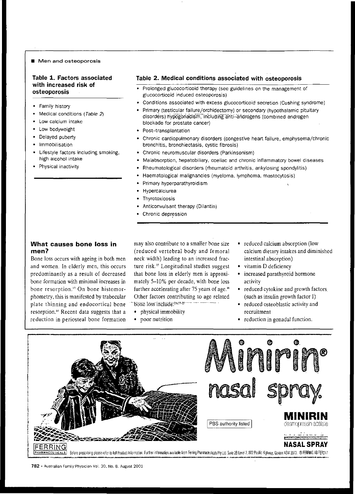#### **• Men and osteoporosis**

#### Table 1. Factors associated with increased risk of osteoporosis

- Family history
- Medical conditions (Table 2)
- Low calcium intake
- Low bodyweight
- Delayed puberty
- **Immobilisation**
- Lifestyle factors including smoking, high alcohol intake
- Physical inactivity

#### Table 2. Medical conditions associated with osteoporosis

- Prolonged glucocorticoid therapy (see guidelines on the management of glucocorticoid induced osteoporosis)
- Conditions associated with excess glucocorticoid secretion (Cushing syndrome)
- Primary (testicular failure/orchidectomy) or secondary (hypothalamic pituitary disorders) hypogonadism, including anti-androgens (combined androgen blockade for prostate cancer)
- Post-transplantation
- Chronic cardiopulmonary disorders (congestive heart failure, emphysema/chronic bronchitis, bronchiectasis, cystic fibrosis)
- Chronic neuromuscular disorders (Parkinsonism)
- Malabsorption, hepatobiliary, coeliac and chronic inflammatory bowel diseases
- Rheumatological disorders (rheumatoid arthritis, ankylosing spondylitis)
- Haematological malignancies (myeloma, lymphoma, mastocytosis)
- Primary hyperparathyroidism
- Hypercalciurea
- **Thyrotoxicosis**
- Anticonvulsant therapy (Dilantin)
- Chronic depression

#### What causes bone loss in men?

Bone loss occurs with ageing in both men and women. In elderly men, this occurs predominantly as a result of decreased bone formation with minimal increases in bone resorption.<sup>13</sup> On bone histomorphometry, this is manifested by trabecular plate thinning and endocortical bone resorption." Recent data suggests that a reduction in periosteal bone formation

may also contribute to a smaller bone size (reduced vertebral body and femoral neck width) leading to an increased fracture risk." Longitudinal studies suggest that bone loss in elderly men is approximately 5-10% per decade, with bone loss further accelerating after 75 years of age.<sup>16</sup> Other factors contributing to age related bone 16ss include:<sup>25,17-25</sup>

- physical immobility
- poor nutrition
- reduced calcium absorption (low calcium dietary intakes and diminished intestinal absorption)
- vitamin D deficiency
- increased parathyroid hormone activity
- reduced cytokine and growth factors,  $(such as insulin growth factor I)$
- reduced osteoblastic activity and recruitment
- $\bullet$  reduction in gonadal function.



**782** . Australian Farnlly-Phystcian Vol, 30. No.8. August 2001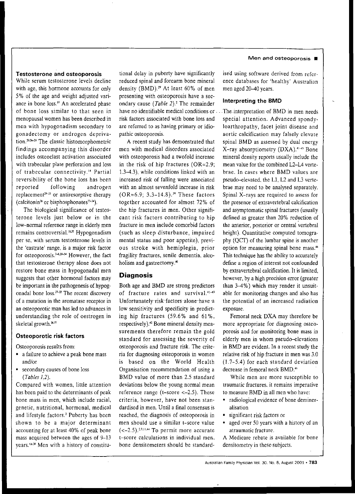#### **Testosterone and osteoporosis**

While **serum testosterone levels decline** with age, this hormone accounts for only 5% of the age and weight adjusted variance in bone loss.<sup>18</sup> An accelerated phase of bone loss similar to that seen in **menopausal women hasbeen described in** men with hypogonadism secondary to gonadectomy or androgen depriva**tion.20. 2 l>-2S The classic histomorphometric** findings accompanying this disorder **includes osteoclast activation associated** with trabecular plate perforation and loss **of trabecular** connectivity." **Partial** reversibility of the bone loss has been reported following androgen replacement<sup>29-33</sup> or antiresorptive therapy (calcitonin<sup>26</sup> or bisphosphonates<sup>33-34</sup>).

The biological significance of testosterone levels just below or in the low-normal reference range in elderlymen remains controversial.<sup>18,35</sup> Hypogonadism **per** se, **with serum testosterone levels in** the 'castrate' range, is a major risk factor for osteoporosis.<sup>2-8,28-34</sup> However, the fact that testosterone therapy alone does not restore bone mass in hypogonadal men suggests that other hormonal factors may be important in the pathogenesis of hypogonadal bone loss.<sup>27-32</sup> The recent discovery **of a mutation in thearomatase receptor in** an osteoporotic man has led to advances in understanding the role of oestrogen in skeletal growth.<sup>36,37</sup>

#### **Osteoporotic risk factors**

Osteoporosis results from:

- a failure to achieve a peak bone mass and/or
- secondary causes of bone loss *(Tables 1.2).*

Compared with women, little attention has been paid to the determinants of peak **bone mass in men, which include racial,** genetic, nutritional, hormonal, medical and lifestyle factors.' Puberty has been **shown to be a major determinant** accounting for at least 40% of peak bone **mass acquired between the ages of 9-13** ycars."-" **Men with a history of** constitu-

tional delay in puberty have significantly **reduced spinal and forearm bone mineral** density (BMD).<sup>29</sup> At least 60% of men presenting with osteoporosis have a secondary cause *(Table* 2).' The remainder **Interpreting the BMD** have no identifiable medical conditions or . . The interpretation of BMD in men needs

in the risk of hip fractures  $(OR=2.9;$  mean value for the combined L2-L4 verteincreased risk of falling were associated pseudo-elevated, the LJ, L2 and L3 verteous stroke with hemiplegia, prior option for measuring spinal bone mass.<sup>44</sup>

#### **Diagnosis**

Both age and BMD are strong predictors of fracture rates and survival.<sup>41-43</sup> Unfortunately'risk-factors-alone-have -a low sensitivity and specificity in predicting hip fractures (59.6% and 61%, respectively).<sup>42</sup> Bone mineral density measurements therefore remain the gold standard for assessing the severity of osteoporosis and fracture risk. The criteria for diagnosing osteoporosis in women is based on the World Health Organisation recommendation of using a BMD value of more than 2.5 standard deviations below the young normal mean reference range ( $t$ -score  $<-2.5$ ). These **criteria, however, have not been standardised in men. Until a final consensus is** reached, the diagnosis of osteoporosis in **men should use a similar** t-score **value**  $(-2.5)$ <sup>2,2,11,44</sup> To permit more accurate t-score **calculations in individual men.** bone densitometers should be standard-

#### **Men and osteoporosis •**

ised **using software derived from refer**ence databases for 'healthy' Australian men aged 20-40 years.

risk factors associated with bone loss and special attention. Advanced spondyare referred to as having primary or idio- loarthropathy, facet joint disease and **pathic osteoporosis. aortic calcification may falsely elevate** A recent study has demonstrated that spinal BMD as assessed by dual energy men with medical disorders associated X-ray absorptiometry (DXA).<sup>41-45</sup> Bone with osteoporosis had a twofold increase mineral density reports usually include the 1.3-4.3), while conditions linked with an brae. In cases where BMD values are with an almost sevenfold increase in risk brae may need to be analysed separately.  $(OR=6.9; 3.3-14.8).$ <sup>30</sup> These factors Spinal X-rays are required to assess for together accounted for almost 72% of the presence of extravertebral calcification the hip fractures in men. Other signifi- and asymptomatic spinal fractures (usually cant risk factors contributing to hip defined as greater than  $20\%$  reduction of fracture in men include comorbid factors the anterior, posterior or central vertebral (such as sleep disturbance, impaired height). Quantitative computed tomogramental status and poor appetite), previ-<br>phy (QCT) of the lumbar spine is another fragility fractures, senile dementia, alco-<br>This technique has the ability to accurately holism and gastrectomy.<sup>40</sup> define a region of interest not confounded by extravertebral calcification. It is limited, however, by a high precision error (greater than 3-4%) which may render it unsuitable for monitoring changes and also has the potential of an increased radiation **exposure.**

> Femoral neck DXA may therefore be more appropriate for diagnosing osteoporosis and for monitoring bone mass in elderly men in whom pseudo-elevations in BMD are evident. In a recent study the relative risk of hip fracture in men was 3.0 (1.7-5.4) for each standard deviation decrease in femoral neck BMD.<sup>46</sup>

> While men are more susceptible to **traumatic fractures, it remains imperative** to measure BMD in all men who have:

- radiological evidence of bone deminer**alisation**
- **• significant risk factors or**
- aged over 50 years with a history of an **atraumatic fracture.**

**A Medicare rebate is available for bone** densitometry in these-subjects.